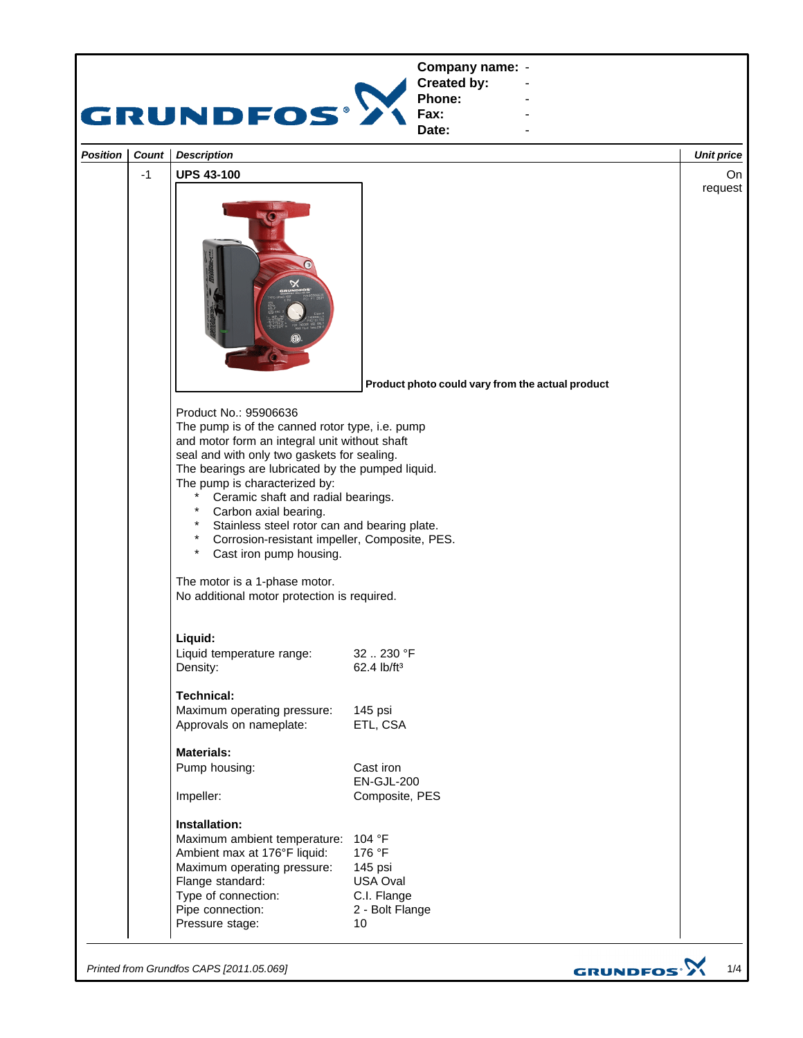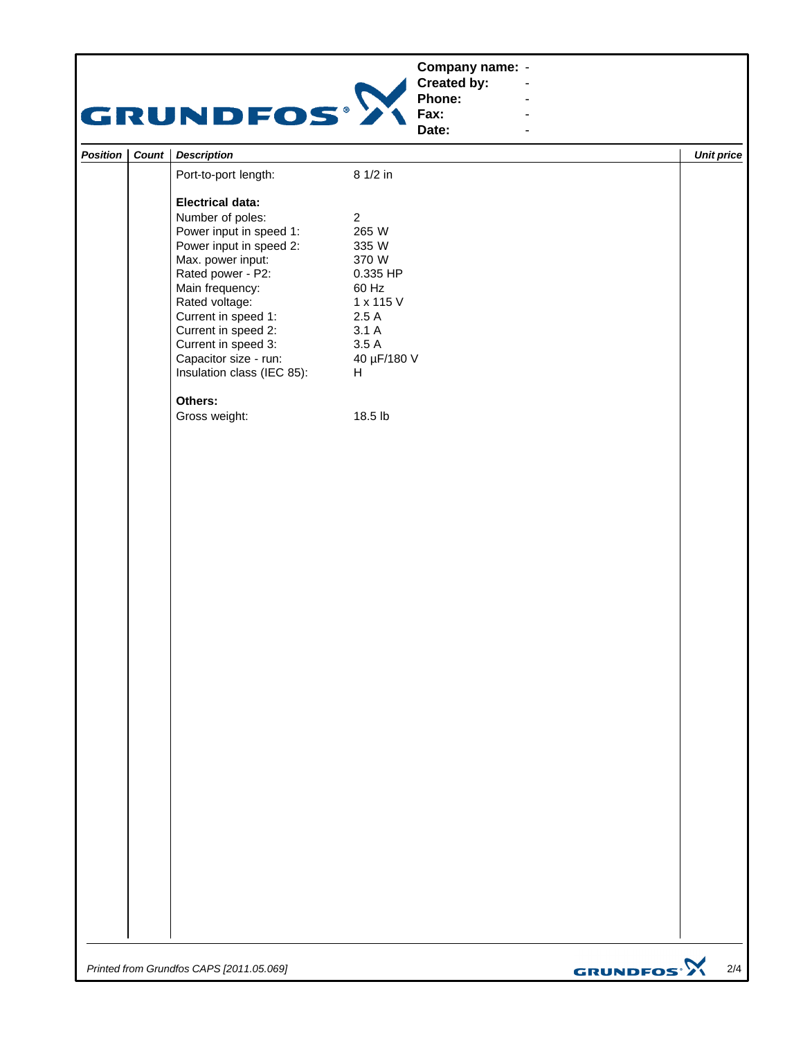|          |       | <b>GRUNDFOS®</b>                                                                                                                                                                                                                                                                                             | Company name: -<br>Created by:<br>Phone:<br>Fax:<br>Date:                                                               |                   |
|----------|-------|--------------------------------------------------------------------------------------------------------------------------------------------------------------------------------------------------------------------------------------------------------------------------------------------------------------|-------------------------------------------------------------------------------------------------------------------------|-------------------|
| Position | Count | <b>Description</b>                                                                                                                                                                                                                                                                                           |                                                                                                                         | <b>Unit price</b> |
|          |       | Port-to-port length:                                                                                                                                                                                                                                                                                         | 8 1/2 in                                                                                                                |                   |
|          |       | <b>Electrical data:</b><br>Number of poles:<br>Power input in speed 1:<br>Power input in speed 2:<br>Max. power input:<br>Rated power - P2:<br>Main frequency:<br>Rated voltage:<br>Current in speed 1:<br>Current in speed 2:<br>Current in speed 3:<br>Capacitor size - run:<br>Insulation class (IEC 85): | $\overline{2}$<br>265 W<br>335 W<br>370 W<br>0.335 HP<br>60 Hz<br>1 x 115 V<br>2.5A<br>3.1A<br>3.5A<br>40 µF/180 V<br>H |                   |
|          |       | Others:<br>Gross weight:                                                                                                                                                                                                                                                                                     | 18.5 lb                                                                                                                 |                   |

*Printed from Grundfos CAPS [2011.05.069]*

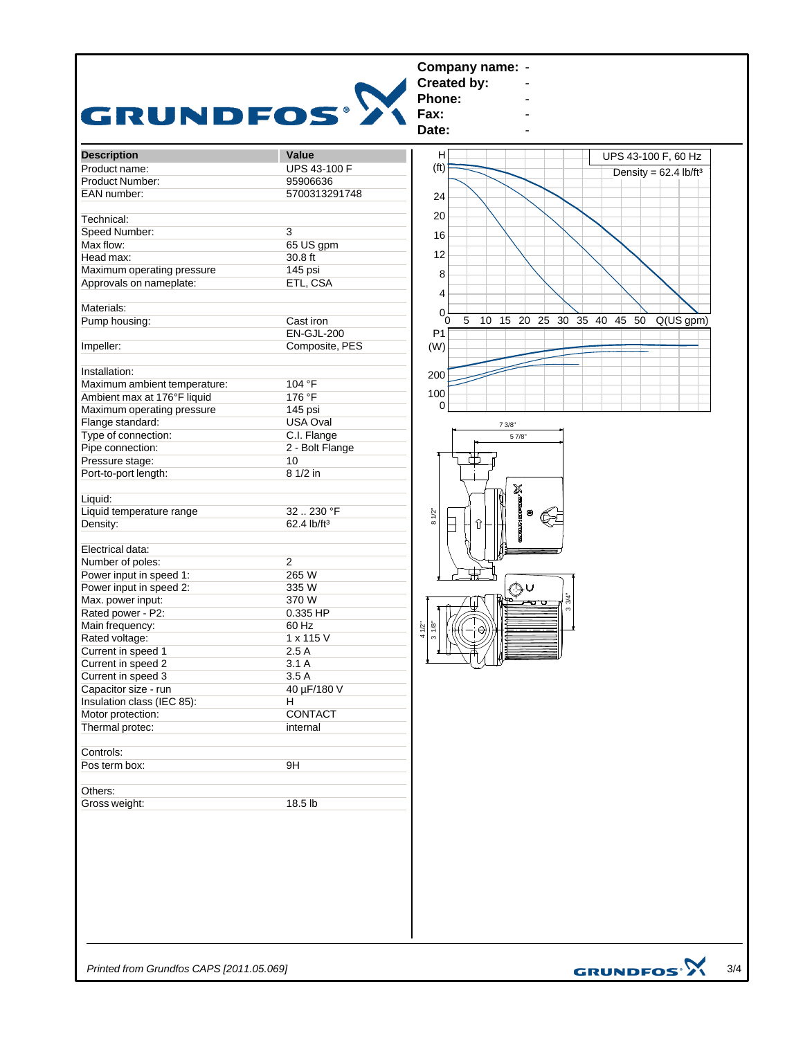